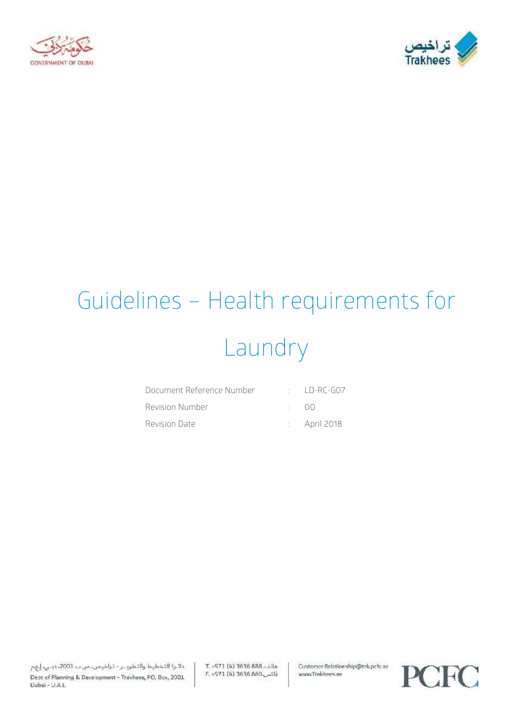



# Guidelines – Health requirements for Laundry

| Document Reference Number |              | $\cdot$ ID-RC-GOZ       |
|---------------------------|--------------|-------------------------|
| Revision Number           | $\cdot$ ()() |                         |
| Revision Date             |              | $\therefore$ April 2018 |

دائرة التخطيط والتطويــر - تراخيمن، من ب 2001، دبـي، إيهم Dept of Planning & Development - Trakhees, PO. Box, 2001 Dubai - U.A.L.

T. - 971 (4) 3636 888. Lila E. -971 (4) 3636 860 Customer Relationship@trk.pcfc.ae www.Trakhees.ae

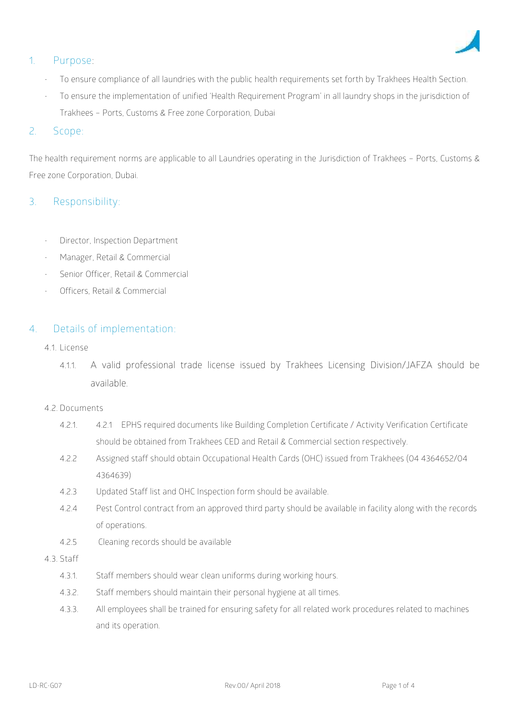

# **1. Purpose:**

- To ensure compliance of all laundries with the public health requirements set forth by Trakhees Health Section.
- To ensure the implementation of unified 'Health Requirement Program' in all laundry shops in the jurisdiction of Trakhees – Ports, Customs & Free zone Corporation, Dubai

## 2. **Scope**:

The health requirement norms are applicable to all Laundries operating in the Jurisdiction of Trakhees – Ports, Customs & Free zone Corporation, Dubai.

# **3. Responsibility:**

- Director, Inspection Department
- Manager, Retail & Commercial
- Senior Officer, Retail & Commercial
- Officers, Retail & Commercial

### **4. Details of implementation**:

- **4.1. License**
	- 4.1.1. A valid professional trade license issued by Trakhees Licensing Division/JAFZA should be available.

#### **4.2. Documents**

- 4.2.1. 4.2.1 EPHS required documents like Building Completion Certificate / Activity Verification Certificate should be obtained from Trakhees CED and Retail & Commercial section respectively.
- 4.2.2 Assigned staff should obtain Occupational Health Cards (OHC) issued from Trakhees (04 4364652/04 4364639)
- 4.2.3 Updated Staff list and OHC Inspection form should be available.
- 4.2.4 Pest Control contract from an approved third party should be available in facility along with the records of operations.
- 4.2.5 Cleaning records should be available
- **4.3. Staff**
	- 4.3.1. Staff members should wear clean uniforms during working hours.
	- 4.3.2. Staff members should maintain their personal hygiene at all times.
	- 4.3.3. All employees shall be trained for ensuring safety for all related work procedures related to machines and its operation.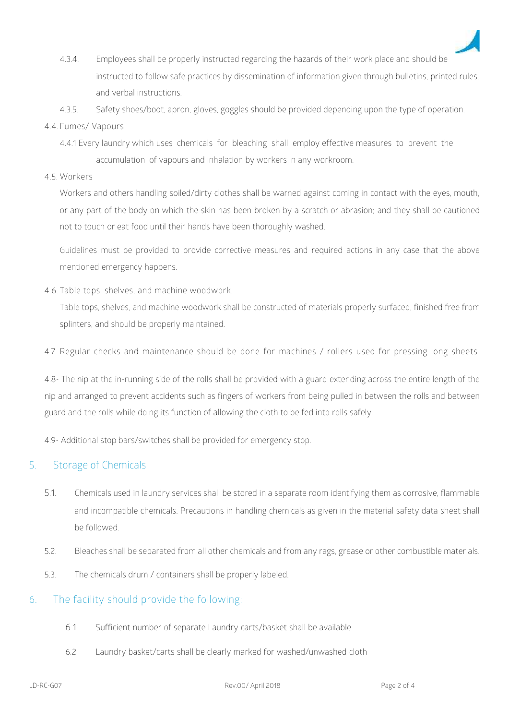

- 4.3.4. Employees shall be properly instructed regarding the hazards of their work place and should be instructed to follow safe practices by dissemination of information given through bulletins, printed rules, and verbal instructions.
- 4.3.5. Safety shoes/boot, apron, gloves, goggles should be provided depending upon the type of operation.

#### **4.4. Fumes/ Vapours**

- 4.4.1 Every laundry which uses chemicals for bleaching shall employ effective measures to prevent the accumulation of vapours and inhalation by workers in any workroom.
- **4.5. Workers**

Workers and others handling soiled/dirty clothes shall be warned against coming in contact with the eyes, mouth, or any part of the body on which the skin has been broken by a scratch or abrasion; and they shall be cautioned not to touch or eat food until their hands have been thoroughly washed.

Guidelines must be provided to provide corrective measures and required actions in any case that the above mentioned emergency happens.

**4.6. Table tops, shelves, and machine woodwork.**

Table tops, shelves, and machine woodwork shall be constructed of materials properly surfaced, finished free from splinters, and should be properly maintained.

4.7 Regular checks and maintenance should be done for machines / rollers used for pressing long sheets.

4.8- The nip at the in-running side of the rolls shall be provided with a guard extending across the entire length of the nip and arranged to prevent accidents such as fingers of workers from being pulled in between the rolls and between guard and the rolls while doing its function of allowing the cloth to be fed into rolls safely.

4.9- Additional stop bars/switches shall be provided for emergency stop.

# **5.** Storage of Chemicals

- 5.1. Chemicals used in laundry services shall be stored in a separate room identifying them as corrosive, flammable and incompatible chemicals. Precautions in handling chemicals as given in the material safety data sheet shall be followed.
- 5.2. Bleaches shall be separated from all other chemicals and from any rags, grease or other combustible materials.
- 5.3. The chemicals drum / containers shall be properly labeled.

# **6. The facility should provide the following:**

- 6.1 Sufficient number of separate Laundry carts/basket shall be available
- 6.2 Laundry basket/carts shall be clearly marked for washed/unwashed cloth